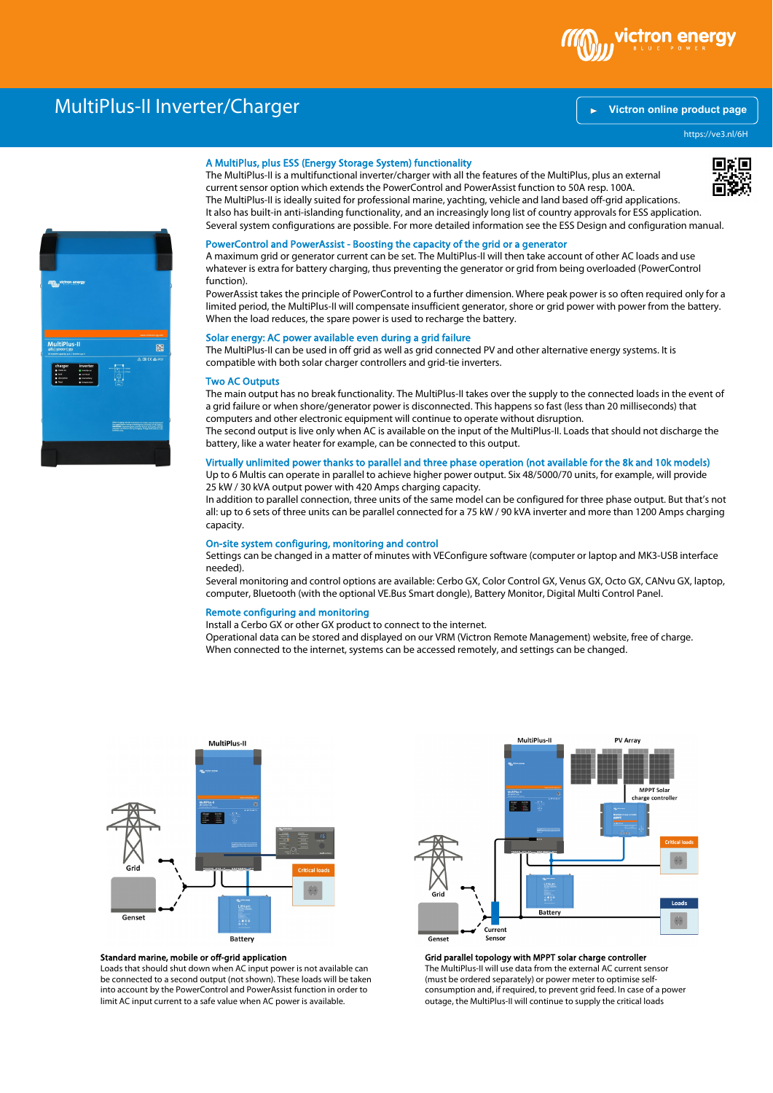

# MultiPlus-II Inverter/Charger

# **[Victron online product page](https://ve3.nl/6H)**

https://ve3.nl/6H

# 飂 efere dweging wachthe extractions. For minor war only Zawanna<br>In kappin befort existing in termining the summarizes he that having<br>Distribution terminist prove, present fluence and special prove<br>droppede resultation during

## A MultiPlus, plus ESS (Energy Storage System) functionality

The MultiPlus-II is a multifunctional inverter/charger with all the features of the MultiPlus, plus an external current sensor option which extends the PowerControl and PowerAssist function to 50A resp. 100A. The MultiPlus-II is ideally suited for professional marine, yachting, vehicle and land based off-grid applications. It also has built-in anti-islanding functionality, and an increasingly long list of country approvals for ESS application. Several system configurations are possible. For more detailed information see the ESS Design and configuration manual.

#### PowerControl and PowerAssist - Boosting the capacity of the grid or a generator

A maximum grid or generator current can be set. The MultiPlus-II will then take account of other AC loads and use whatever is extra for battery charging, thus preventing the generator or grid from being overloaded (PowerControl function).

PowerAssist takes the principle of PowerControl to a further dimension. Where peak power is so often required only for a limited period, the MultiPlus-II will compensate insufficient generator, shore or grid power with power from the battery. When the load reduces, the spare power is used to recharge the battery.

# Solar energy: AC power available even during a grid failure

The MultiPlus-II can be used in off grid as well as grid connected PV and other alternative energy systems. It is compatible with both solar charger controllers and grid-tie inverters.

#### Two AC Outputs

The main output has no break functionality. The MultiPlus-II takes over the supply to the connected loads in the event of a grid failure or when shore/generator power is disconnected. This happens so fast (less than 20 milliseconds) that computers and other electronic equipment will continue to operate without disruption.

The second output is live only when AC is available on the input of the MultiPlus-II. Loads that should not discharge the battery, like a water heater for example, can be connected to this output.

# Virtually unlimited power thanks to parallel and three phase operation (not available for the 8k and 10k models)

Up to 6 Multis can operate in parallel to achieve higher power output. Six 48/5000/70 units, for example, will provide 25 kW / 30 kVA output power with 420 Amps charging capacity. In addition to parallel connection, three units of the same model can be configured for three phase output. But that's not

all: up to 6 sets of three units can be parallel connected for a 75 kW / 90 kVA inverter and more than 1200 Amps charging capacity.

#### On-site system configuring, monitoring and control

Settings can be changed in a matter of minutes with VEConfigure software (computer or laptop and MK3-USB interface needed).

Several monitoring and control options are available: Cerbo GX, Color Control GX, Venus GX, Octo GX, CANvu GX, laptop, computer, Bluetooth (with the optional VE.Bus Smart dongle), Battery Monitor, Digital Multi Control Panel.

#### Remote configuring and monitoring

Install a Cerbo GX or other GX product to connect to the internet.

Operational data can be stored and displayed on our VRM (Victron Remote Management) website, free of charge. When connected to the internet, systems can be accessed remotely, and settings can be changed.



## Standard marine, mobile or off-grid application

Loads that should shut down when AC input power is not available can be connected to a second output (not shown). These loads will be taken into account by the PowerControl and PowerAssist function in order to limit AC input current to a safe value when AC power is available.



Grid parallel topology with MPPT solar charge controller The MultiPlus-II will use data from the external AC current sensor (must be ordered separately) or power meter to optimise self-

consumption and, if required, to prevent grid feed. In case of a power outage, the MultiPlus-II will continue to supply the critical loads